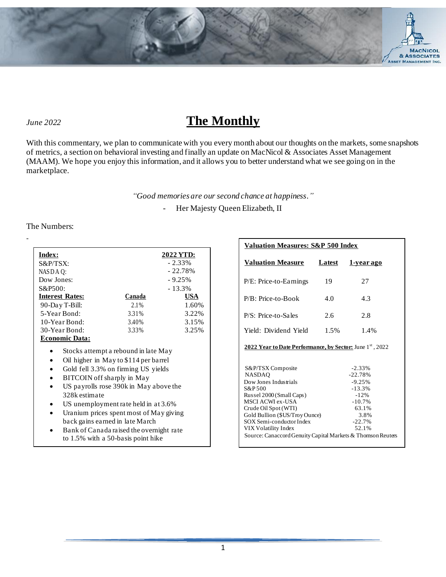

# *June <sup>2022</sup>* **The Monthly**

With this commentary, we plan to communicate with you every month about our thoughts on the markets, some snapshots of metrics, a section on behavioral investing and finally an update on MacNicol & Associates Asset Management (MAAM). We hope you enjoy this information, and it allows you to better understand what we see going on in the marketplace.

*"Good memories are our second chance at happiness."*

- Her Majesty Queen Elizabeth, II

#### The Numbers:

-

| Index:                                  |                                         | <u>2022 YTD:</u> |  |  |  |
|-----------------------------------------|-----------------------------------------|------------------|--|--|--|
| $S\&P/TSX$ :                            |                                         | $-2.33\%$        |  |  |  |
| NASDA Q:                                | $-22.78%$                               |                  |  |  |  |
| Dow Jones:                              |                                         | $-9.25%$         |  |  |  |
| S&P500:                                 |                                         | $-13.3\%$        |  |  |  |
| <b>Interest Rates:</b>                  | Canada                                  | <b>USA</b>       |  |  |  |
| 90-Day T-Bill:                          | 2.1%                                    | 1.60%            |  |  |  |
| 5-Year Bond:                            | 3.31%                                   | 3.22%            |  |  |  |
| 10-Year Bond:                           | 3.40%                                   | 3.15%            |  |  |  |
| 30-Year Bond:                           | 3.33%                                   | 3.25%            |  |  |  |
| <b>Economic Data:</b>                   |                                         |                  |  |  |  |
| Stocks attempt a rebound in late May    |                                         |                  |  |  |  |
|                                         |                                         |                  |  |  |  |
| Oil higher in May to \$114 per barrel   |                                         |                  |  |  |  |
| Gold fell 3.3% on firming US yields     |                                         |                  |  |  |  |
| BITCOIN off sharply in May<br>$\bullet$ |                                         |                  |  |  |  |
| US payrolls rose 390k in May above the  |                                         |                  |  |  |  |
| 328k estimate                           |                                         |                  |  |  |  |
| US unemployment rate held in at 3.6%    |                                         |                  |  |  |  |
| Uranium prices spent most of May giving |                                         |                  |  |  |  |
| back gains earned in late March         |                                         |                  |  |  |  |
|                                         | Bank of Canadaraised the overnight rate |                  |  |  |  |

Bank of Canada raised the overnight to 1.5% with a 50-basis point hike

# **Valuation Measure Latest 1-year ago** 2022 Year to Date Performance, by Sector: June 1<sup>st</sup>, 2022 S&P/TSX Composite -2.33% NASDAQ  $-22.78%$ Dow Jones Industrials -9.25%<br>S&P 500 -13.3% S&P 500 Russel 2000 (Small Caps) -12% P/E: Price-to-Earnings 19 27  $P/B: Price-to-Book$  4.0 4.3 P/S: Price-to-Sales 2.6 2.8 Yield: Dividend Yield 1.5% 1.4%

Source: Canaccord Genuity Capital Markets & Thomson Reuters

MSCI ACWI ex-USA  $-10.7\%$ Crude Oil Spot (WTI) 63.1% Gold Bullion (\$US/Troy Ounce) 3.8% SOX Semi-conductor Index -22.7% VIX Volatility Index 52.1%

**Valuation Measures: S&P 500 Index**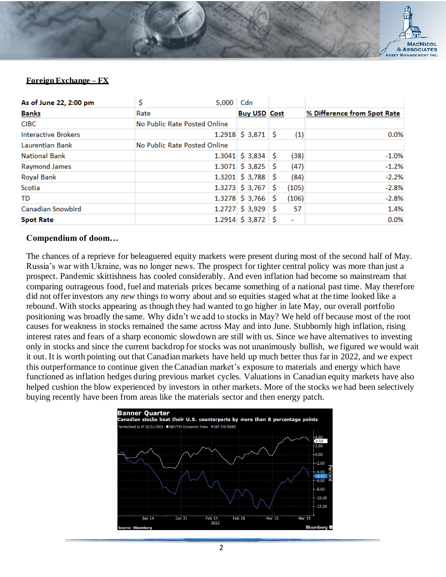

## **Foreign Exchange – FX**

| As of June 22, 2:00 pm     | \$                           | 5,000 Cdn                          |             |                             |
|----------------------------|------------------------------|------------------------------------|-------------|-----------------------------|
| <b>Banks</b>               | Rate                         | <b>Buy USD Cost</b>                |             | % Difference from Spot Rate |
| <b>CIBC</b>                | No Public Rate Posted Online |                                    |             |                             |
| <b>Interactive Brokers</b> |                              | 1.2918 $$3,871$                    | (1)<br>-S   | 0.0%                        |
| Laurentian Bank            | No Public Rate Posted Online |                                    |             |                             |
| <b>National Bank</b>       |                              | 1.3041 $\frac{2}{3}$ 3,834         | (38)<br>-S  | $-1.0%$                     |
| Raymond James              |                              | 1.3071 $\vert$ \$ 3,825            | (47)<br>-S  | $-1.2%$                     |
| <b>Royal Bank</b>          |                              | 1.3201 $\vert$ \$ 3,788 $\vert$ \$ | (84)        | $-2.2%$                     |
| Scotia                     |                              | 1.3273 $\frac{2}{3}$ 3,767         | (105)<br>-S | $-2.8%$                     |
| <b>TD</b>                  |                              | 1.3278 $$3,766$                    | -Ŝ<br>(106) | $-2.8%$                     |
| Canadian Snowbird          |                              | 1.2727 $\frac{1}{2}$ 3,929         | -Ś<br>57    | 1.4%                        |
| <b>Spot Rate</b>           |                              | 1.2914 $\frac{1}{5}$ 3,872         | ٠           | 0.0%                        |

#### **Compendium of doom…**

The chances of a reprieve for beleaguered equity markets were present during most of the second half of May. Russia's war with Ukraine, was no longer news. The prospect for tighter central policy was more than just a prospect. Pandemic skittishness has cooled considerably. And even inflation had become so mainstream that comparing outrageous food, fuel and materials prices became something of a national past time. May therefore did not offer investors any *new* things to worry about and so equities staged what at the time looked like a rebound. With stocks appearing as though they had wanted to go higher in late May, our overall portfolio positioning was broadly the same. Why didn't we add to stocks in May? We held off because most of the root causes for weakness in stocks remained the same across May and into June. Stubbornly high inflation, rising interest rates and fears of a sharp economic slowdown are still with us. Since we have alternatives to investing only in stocks and since the current backdrop for stocks was not unanimously bullish, we figured we would wait it out. It is worth pointing out that Canadian markets have held up much better thus far in 2022, and we expect this outperformance to continue given the Canadian market's exposure to materials and energy which have functioned as inflation hedges during previous market cycles. Valuations in Canadian equity markets have also helped cushion the blow experienced by investors in other markets. More of the stocks we had been selectively buying recently have been from areas like the materials sector and then energy patch.

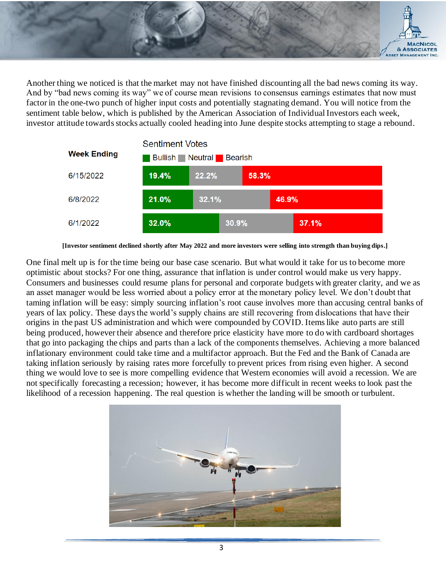

Another thing we noticed is that the market may not have finished discounting all the bad news coming its way. And by "bad news coming its way" we of course mean revisions to consensus earnings estimates that now must factor in the one-two punch of higher input costs and potentially stagnating demand. You will notice from the sentiment table below, which is published by the American Association of Individual Investors each week, investor attitude towards stocks actually cooled heading into June despite stocks attempting to stage a rebound.



**[Investor sentiment declined shortly after May 2022 and more investors were selling into strength than buying dips.]**

One final melt up is for the time being our base case scenario. But what would it take for us to become more optimistic about stocks? For one thing, assurance that inflation is under control would make us very happy. Consumers and businesses could resume plans for personal and corporate budgets with greater clarity, and we as an asset manager would be less worried about a policy error at the monetary policy level. We don't doubt that taming inflation will be easy: simply sourcing inflation's root cause involves more than accusing central banks of years of lax policy. These daysthe world's supply chains are still recovering from dislocations that have their origins in the past US administration and which were compounded by COVID. Items like auto parts are still being produced, however their absence and therefore price elasticity have more to do with cardboard shortages that go into packaging the chips and parts than a lack of the components themselves. Achieving a more balanced inflationary environment could take time and a multifactor approach. But the Fed and the Bank of Canada are taking inflation seriously by raising rates more forcefully to prevent prices from rising even higher. A second thing we would love to see is more compelling evidence that Western economies will avoid a recession. We are not specifically forecasting a recession; however, it has become more difficult in recent weeks to look past the likelihood of a recession happening. The real question is whether the landing will be smooth or turbulent.

![](_page_2_Picture_5.jpeg)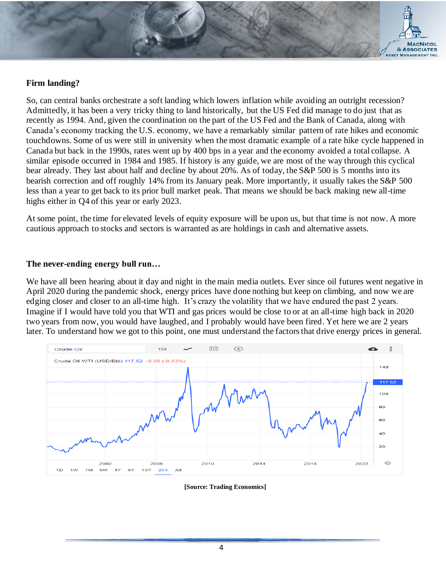![](_page_3_Picture_0.jpeg)

## **Firm landing?**

So, can central banks orchestrate a soft landing which lowers inflation while avoiding an outright recession? Admittedly, it has been a very tricky thing to land historically, but the US Fed did manage to do just that as recently as 1994. And, given the coordination on the part of the US Fed and the Bank of Canada, along with Canada's economy tracking the U.S. economy, we have a remarkably similar pattern of rate hikes and economic touchdowns. Some of us were still in university when the most dramatic example of a rate hike cycle happened in Canada but back in the 1990s, rates went up by 400 bps in a year and the economy avoided a total collapse. A similar episode occurred in 1984 and 1985. If history is any guide, we are most of the way through this cyclical bear already. They last about half and decline by about 20%. As of today, the S&P 500 is 5 months into its bearish correction and off roughly 14% from its January peak. More importantly, it usually takes the S&P 500 less than a year to get back to its prior bull market peak. That means we should be back making new all-time highs either in Q4 of this year or early 2023.

At some point, the time for elevated levels of equity exposure will be upon us, but that time is not now. A more cautious approach to stocks and sectors is warranted as are holdings in cash and alternative assets.

#### **The never-ending energy bull run…**

We have all been hearing about it day and night in the main media outlets. Ever since oil futures went negative in April 2020 during the pandemic shock, energy prices have done nothing but keep on climbing, and now we are edging closer and closer to an all-time high. It's crazy the volatility that we have endured the past 2 years. Imagine if I would have told you that WTI and gas prices would be close to or at an all-time high back in 2020 two years from now, you would have laughed, and I probably would have been fired. Yet here we are 2 years later. To understand how we got to this point, one must understand the factors that drive energy prices in general.

![](_page_3_Figure_6.jpeg)

**[Source: Trading Economics]**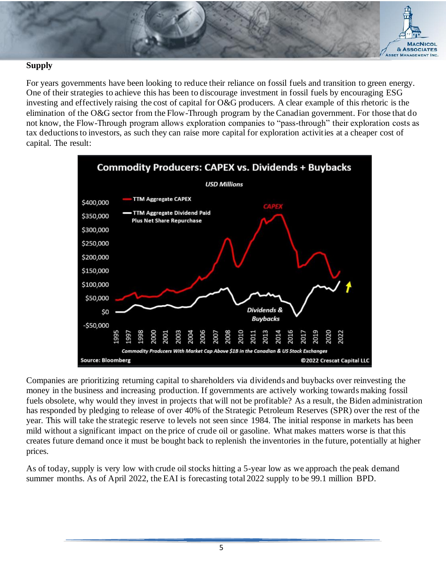![](_page_4_Picture_0.jpeg)

#### **Supply**

For years governments have been looking to reduce their reliance on fossil fuels and transition to green energy. One of their strategies to achieve this has been to discourage investment in fossil fuels by encouraging ESG investing and effectively raising the cost of capital for O&G producers. A clear example of this rhetoric is the elimination of the O&G sector from the Flow-Through program by the Canadian government. For those that do not know, the Flow-Through program allows exploration companies to "pass-through" their exploration costs as tax deductions to investors, as such they can raise more capital for exploration activities at a cheaper cost of capital. The result:

![](_page_4_Figure_3.jpeg)

Companies are prioritizing returning capital to shareholders via dividends and buybacks over reinvesting the money in the business and increasing production. If governments are actively working towards making fossil fuels obsolete, why would they invest in projects that will not be profitable? As a result, the Biden administration has responded by pledging to release of over 40% of the Strategic Petroleum Reserves (SPR) over the rest of the year. This will take the strategic reserve to levels not seen since 1984. The initial response in markets has been mild without a significant impact on the price of crude oil or gasoline. What makes matters worse is that this creates future demand once it must be bought back to replenish the inventories in the future, potentially at higher prices.

As of today, supply is very low with crude oil stocks hitting a 5-year low as we approach the peak demand summer months. As of April 2022, the EAI is forecasting total 2022 supply to be 99.1 million BPD.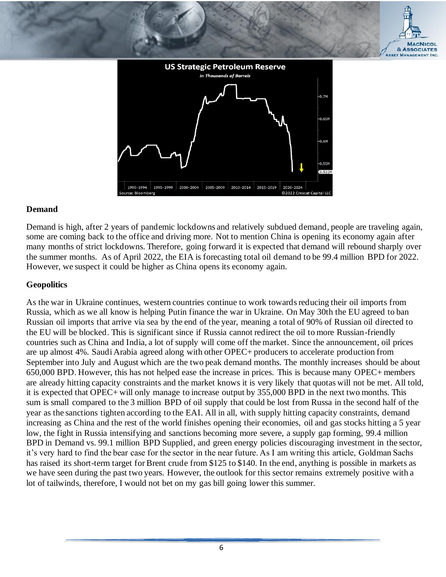![](_page_5_Picture_0.jpeg)

![](_page_5_Figure_1.jpeg)

#### **Demand**

Demand is high, after 2 years of pandemic lockdowns and relatively subdued demand, people are traveling again, some are coming back to the office and driving more. Not to mention China is opening its economy again after many months of strict lockdowns. Therefore, going forward it is expected that demand will rebound sharply over the summer months. As of April 2022, the EIA is forecasting total oil demand to be 99.4 million BPD for 2022. However, we suspect it could be higher as China opens its economy again.

## **Geopolitics**

As the war in Ukraine continues, western countries continue to work towards reducing their oil imports from Russia, which as we all know is helping Putin finance the war in Ukraine. On May 30th the EU agreed to ban Russian oil imports that arrive via sea by the end of the year, meaning a total of 90% of Russian oil directed to the EU will be blocked. This is significant since if Russia cannot redirect the oil to more Russian-friendly countries such as China and India, a lot of supply will come off the market. Since the announcement, oil prices are up almost 4%. Saudi Arabia agreed along with other OPEC+ producers to accelerate production from September into July and August which are the two peak demand months. The monthly increases should be about 650,000 BPD. However, this has not helped ease the increase in prices. This is because many OPEC+ members are already hitting capacity constraints and the market knows it is very likely that quotas will not be met. All told, it is expected that OPEC+ will only manage to increase output by 355,000 BPD in the next two months. This sum is small compared to the 3 million BPD of oil supply that could be lost from Russa in the second half of the year as the sanctions tighten according to the EAI. All in all, with supply hitting capacity constraints, demand increasing as China and the rest of the world finishes opening their economies, oil and gas stocks hitting a 5 year low, the fight in Russia intensifying and sanctions becoming more severe, a supply gap forming, 99.4 million BPD in Demand vs. 99.1 million BPD Supplied, and green energy policies discouraging investment in the sector, it's very hard to find the bear case for the sector in the near future. As I am writing this article, Goldman Sachs has raised its short-term target for Brent crude from \$125 to \$140. In the end, anything is possible in markets as we have seen during the past two years. However, the outlook for this sector remains extremely positive with a lot of tailwinds, therefore, I would not bet on my gas bill going lower this summer.